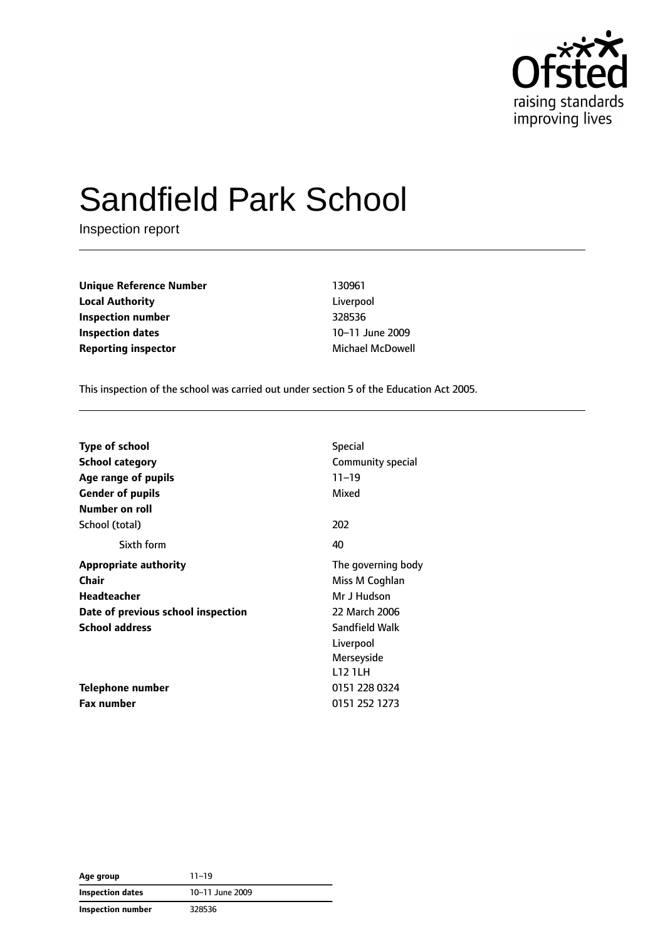

# Sandfield Park School

Inspection report

**Unique Reference Number** 130961 **Local Authority** Liverpool **Inspection number** 328536 **Inspection dates** 10–11 June 2009 **Reporting inspector** Michael McDowell

This inspection of the school was carried out under section 5 of the Education Act 2005.

| <b>Type of school</b>                   | <b>Special</b>     |
|-----------------------------------------|--------------------|
| <b>School category</b>                  | Community special  |
| Age range of pupils                     | $11 - 19$          |
| <b>Gender of pupils</b>                 | Mixed              |
| Number on roll                          |                    |
| School (total)                          | 202                |
| Sixth form                              | 40                 |
| <b>Appropriate authority</b>            | The governing body |
| Chair                                   | Miss M Coghlan     |
| <b>Headteacher</b>                      | Mr J Hudson        |
| Date of previous school inspection      | 22 March 2006      |
| Sandfield Walk<br><b>School address</b> |                    |
|                                         | Liverpool          |
|                                         | Merseyside         |
|                                         | <b>L12 1LH</b>     |
| Telephone number                        | 0151 228 0324      |
| <b>Fax number</b>                       | 0151 252 1273      |

| Age group               | $11 - 19$       |  |
|-------------------------|-----------------|--|
| <b>Inspection dates</b> | 10-11 June 2009 |  |
| Inspection number       | 328536          |  |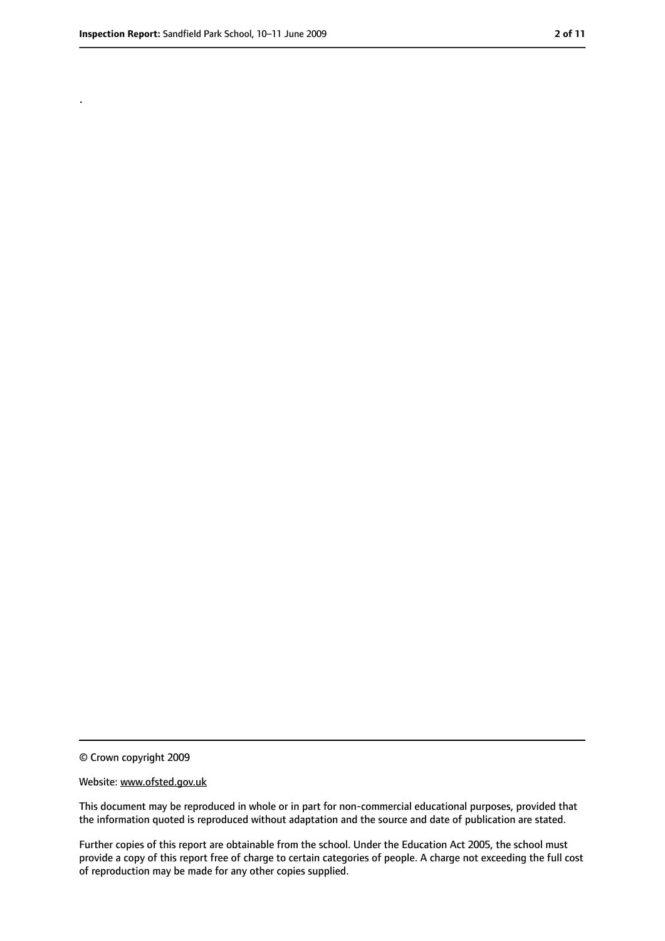.

<sup>©</sup> Crown copyright 2009

Website: www.ofsted.gov.uk

This document may be reproduced in whole or in part for non-commercial educational purposes, provided that the information quoted is reproduced without adaptation and the source and date of publication are stated.

Further copies of this report are obtainable from the school. Under the Education Act 2005, the school must provide a copy of this report free of charge to certain categories of people. A charge not exceeding the full cost of reproduction may be made for any other copies supplied.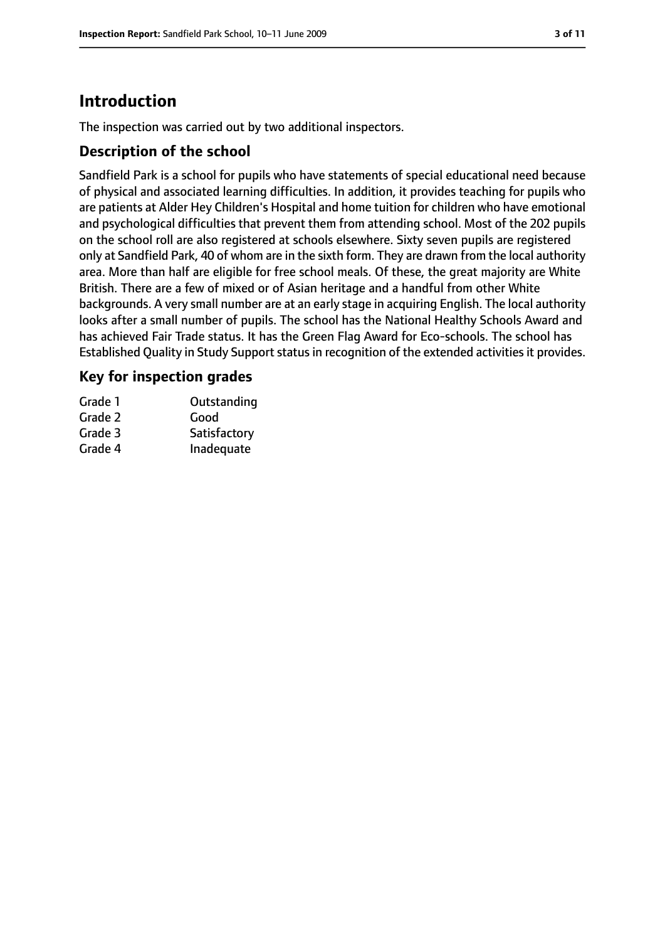# **Introduction**

The inspection was carried out by two additional inspectors.

## **Description of the school**

Sandfield Park is a school for pupils who have statements of special educational need because of physical and associated learning difficulties. In addition, it provides teaching for pupils who are patients at Alder Hey Children's Hospital and home tuition for children who have emotional and psychological difficulties that prevent them from attending school. Most of the 202 pupils on the school roll are also registered at schools elsewhere. Sixty seven pupils are registered only at Sandfield Park, 40 of whom are in the sixth form. They are drawn from the local authority area. More than half are eligible for free school meals. Of these, the great majority are White British. There are a few of mixed or of Asian heritage and a handful from other White backgrounds. A very small number are at an early stage in acquiring English. The local authority looks after a small number of pupils. The school has the National Healthy Schools Award and has achieved Fair Trade status. It has the Green Flag Award for Eco-schools. The school has Established Quality in Study Support status in recognition of the extended activities it provides.

## **Key for inspection grades**

| Grade 1 | Outstanding  |
|---------|--------------|
| Grade 2 | Good         |
| Grade 3 | Satisfactory |
| Grade 4 | Inadequate   |
|         |              |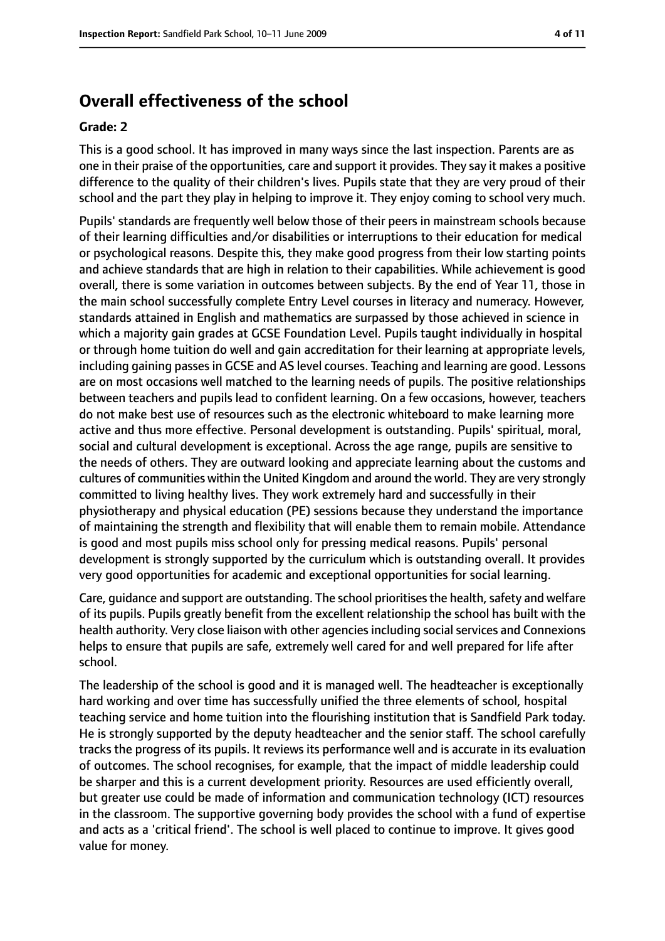# **Overall effectiveness of the school**

#### **Grade: 2**

This is a good school. It has improved in many ways since the last inspection. Parents are as one in their praise of the opportunities, care and support it provides. They say it makes a positive difference to the quality of their children's lives. Pupils state that they are very proud of their school and the part they play in helping to improve it. They enjoy coming to school very much.

Pupils' standards are frequently well below those of their peers in mainstream schools because of their learning difficulties and/or disabilities or interruptions to their education for medical or psychological reasons. Despite this, they make good progress from their low starting points and achieve standards that are high in relation to their capabilities. While achievement is good overall, there is some variation in outcomes between subjects. By the end of Year 11, those in the main school successfully complete Entry Level courses in literacy and numeracy. However, standards attained in English and mathematics are surpassed by those achieved in science in which a majority gain grades at GCSE Foundation Level. Pupils taught individually in hospital or through home tuition do well and gain accreditation for their learning at appropriate levels, including gaining passesin GCSE and AS level courses. Teaching and learning are good. Lessons are on most occasions well matched to the learning needs of pupils. The positive relationships between teachers and pupils lead to confident learning. On a few occasions, however, teachers do not make best use of resources such as the electronic whiteboard to make learning more active and thus more effective. Personal development is outstanding. Pupils' spiritual, moral, social and cultural development is exceptional. Across the age range, pupils are sensitive to the needs of others. They are outward looking and appreciate learning about the customs and cultures of communities within the United Kingdom and around the world. They are very strongly committed to living healthy lives. They work extremely hard and successfully in their physiotherapy and physical education (PE) sessions because they understand the importance of maintaining the strength and flexibility that will enable them to remain mobile. Attendance is good and most pupils miss school only for pressing medical reasons. Pupils' personal development is strongly supported by the curriculum which is outstanding overall. It provides very good opportunities for academic and exceptional opportunities for social learning.

Care, guidance and support are outstanding. The school prioritises the health, safety and welfare of its pupils. Pupils greatly benefit from the excellent relationship the school has built with the health authority. Very close liaison with other agencies including social services and Connexions helps to ensure that pupils are safe, extremely well cared for and well prepared for life after school.

The leadership of the school is good and it is managed well. The headteacher is exceptionally hard working and over time has successfully unified the three elements of school, hospital teaching service and home tuition into the flourishing institution that is Sandfield Park today. He is strongly supported by the deputy headteacher and the senior staff. The school carefully tracks the progress of its pupils. It reviews its performance well and is accurate in its evaluation of outcomes. The school recognises, for example, that the impact of middle leadership could be sharper and this is a current development priority. Resources are used efficiently overall, but greater use could be made of information and communication technology (ICT) resources in the classroom. The supportive governing body provides the school with a fund of expertise and acts as a 'critical friend'. The school is well placed to continue to improve. It gives good value for money.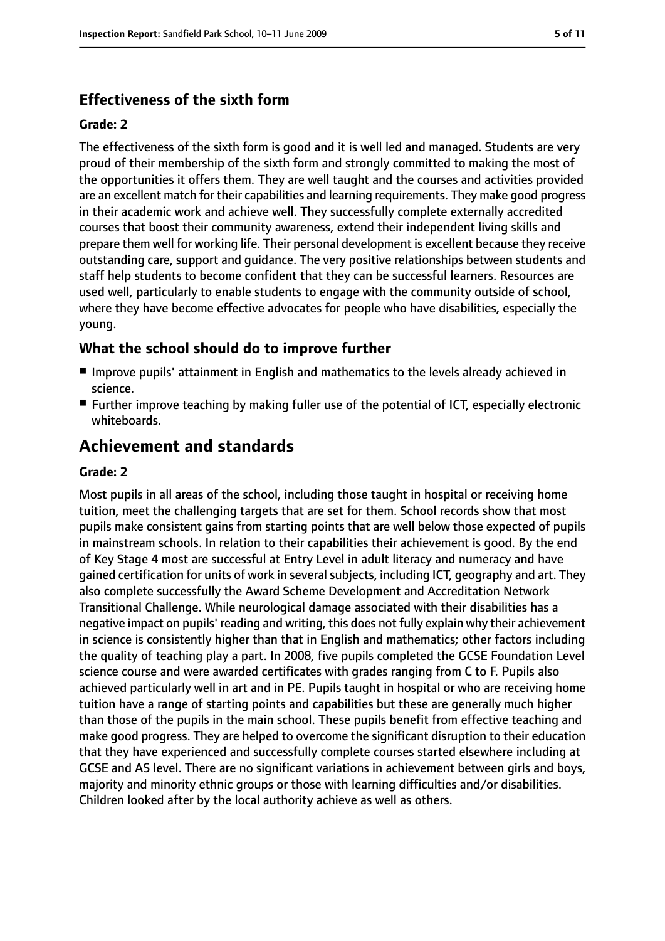# **Effectiveness of the sixth form**

#### **Grade: 2**

The effectiveness of the sixth form is good and it is well led and managed. Students are very proud of their membership of the sixth form and strongly committed to making the most of the opportunities it offers them. They are well taught and the courses and activities provided are an excellent match for their capabilities and learning requirements. They make good progress in their academic work and achieve well. They successfully complete externally accredited courses that boost their community awareness, extend their independent living skills and prepare them well for working life. Their personal development is excellent because they receive outstanding care, support and guidance. The very positive relationships between students and staff help students to become confident that they can be successful learners. Resources are used well, particularly to enable students to engage with the community outside of school, where they have become effective advocates for people who have disabilities, especially the young.

## **What the school should do to improve further**

- Improve pupils' attainment in English and mathematics to the levels already achieved in science.
- Further improve teaching by making fuller use of the potential of ICT, especially electronic whiteboards.

# **Achievement and standards**

#### **Grade: 2**

Most pupils in all areas of the school, including those taught in hospital or receiving home tuition, meet the challenging targets that are set for them. School records show that most pupils make consistent gains from starting points that are well below those expected of pupils in mainstream schools. In relation to their capabilities their achievement is good. By the end of Key Stage 4 most are successful at Entry Level in adult literacy and numeracy and have gained certification for units of work in several subjects, including ICT, geography and art. They also complete successfully the Award Scheme Development and Accreditation Network Transitional Challenge. While neurological damage associated with their disabilities has a negative impact on pupils' reading and writing, this does not fully explain why their achievement in science is consistently higher than that in English and mathematics; other factors including the quality of teaching play a part. In 2008, five pupils completed the GCSE Foundation Level science course and were awarded certificates with grades ranging from C to F. Pupils also achieved particularly well in art and in PE. Pupils taught in hospital or who are receiving home tuition have a range of starting points and capabilities but these are generally much higher than those of the pupils in the main school. These pupils benefit from effective teaching and make good progress. They are helped to overcome the significant disruption to their education that they have experienced and successfully complete courses started elsewhere including at GCSE and AS level. There are no significant variations in achievement between girls and boys, majority and minority ethnic groups or those with learning difficulties and/or disabilities. Children looked after by the local authority achieve as well as others.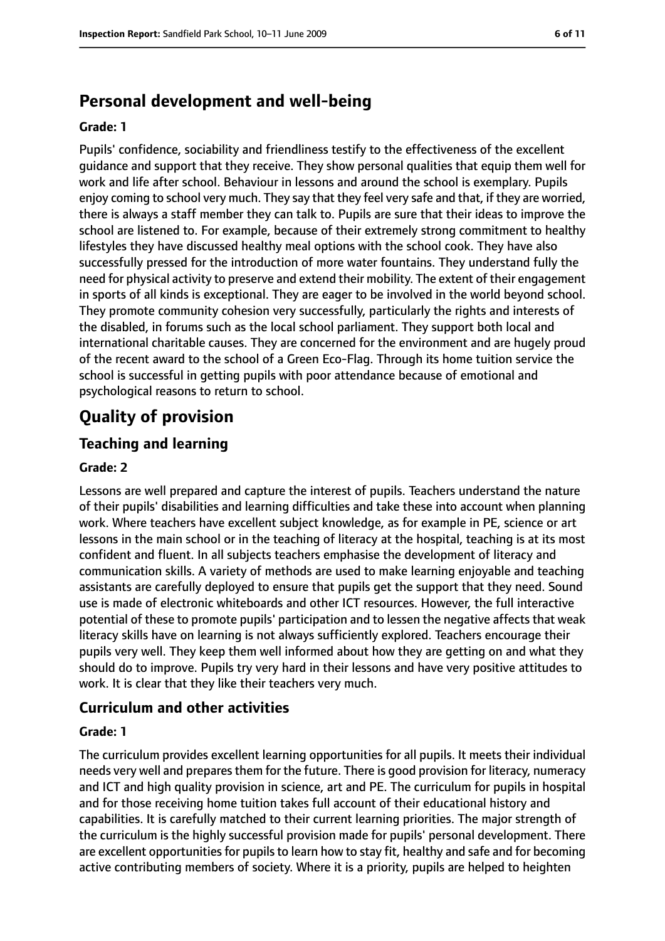# **Personal development and well-being**

#### **Grade: 1**

Pupils' confidence, sociability and friendliness testify to the effectiveness of the excellent guidance and support that they receive. They show personal qualities that equip them well for work and life after school. Behaviour in lessons and around the school is exemplary. Pupils enjoy coming to school very much. They say that they feel very safe and that, if they are worried, there is always a staff member they can talk to. Pupils are sure that their ideas to improve the school are listened to. For example, because of their extremely strong commitment to healthy lifestyles they have discussed healthy meal options with the school cook. They have also successfully pressed for the introduction of more water fountains. They understand fully the need for physical activity to preserve and extend their mobility. The extent of their engagement in sports of all kinds is exceptional. They are eager to be involved in the world beyond school. They promote community cohesion very successfully, particularly the rights and interests of the disabled, in forums such as the local school parliament. They support both local and international charitable causes. They are concerned for the environment and are hugely proud of the recent award to the school of a Green Eco-Flag. Through its home tuition service the school is successful in getting pupils with poor attendance because of emotional and psychological reasons to return to school.

# **Quality of provision**

# **Teaching and learning**

#### **Grade: 2**

Lessons are well prepared and capture the interest of pupils. Teachers understand the nature of their pupils' disabilities and learning difficulties and take these into account when planning work. Where teachers have excellent subject knowledge, as for example in PE, science or art lessons in the main school or in the teaching of literacy at the hospital, teaching is at its most confident and fluent. In all subjects teachers emphasise the development of literacy and communication skills. A variety of methods are used to make learning enjoyable and teaching assistants are carefully deployed to ensure that pupils get the support that they need. Sound use is made of electronic whiteboards and other ICT resources. However, the full interactive potential of these to promote pupils' participation and to lessen the negative affects that weak literacy skills have on learning is not always sufficiently explored. Teachers encourage their pupils very well. They keep them well informed about how they are getting on and what they should do to improve. Pupils try very hard in their lessons and have very positive attitudes to work. It is clear that they like their teachers very much.

### **Curriculum and other activities**

#### **Grade: 1**

The curriculum provides excellent learning opportunities for all pupils. It meets their individual needs very well and prepares them for the future. There is good provision for literacy, numeracy and ICT and high quality provision in science, art and PE. The curriculum for pupils in hospital and for those receiving home tuition takes full account of their educational history and capabilities. It is carefully matched to their current learning priorities. The major strength of the curriculum is the highly successful provision made for pupils' personal development. There are excellent opportunities for pupils to learn how to stay fit, healthy and safe and for becoming active contributing members of society. Where it is a priority, pupils are helped to heighten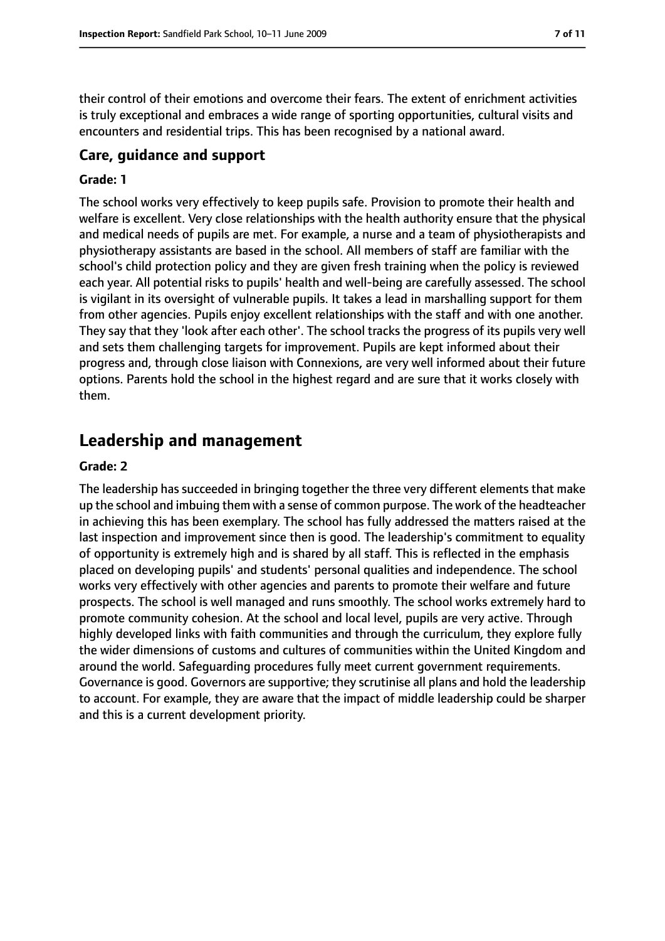their control of their emotions and overcome their fears. The extent of enrichment activities is truly exceptional and embraces a wide range of sporting opportunities, cultural visits and encounters and residential trips. This has been recognised by a national award.

# **Care, guidance and support**

#### **Grade: 1**

The school works very effectively to keep pupils safe. Provision to promote their health and welfare is excellent. Very close relationships with the health authority ensure that the physical and medical needs of pupils are met. For example, a nurse and a team of physiotherapists and physiotherapy assistants are based in the school. All members of staff are familiar with the school's child protection policy and they are given fresh training when the policy is reviewed each year. All potential risks to pupils' health and well-being are carefully assessed. The school is vigilant in its oversight of vulnerable pupils. It takes a lead in marshalling support for them from other agencies. Pupils enjoy excellent relationships with the staff and with one another. They say that they 'look after each other'. The school tracks the progress of its pupils very well and sets them challenging targets for improvement. Pupils are kept informed about their progress and, through close liaison with Connexions, are very well informed about their future options. Parents hold the school in the highest regard and are sure that it works closely with them.

# **Leadership and management**

#### **Grade: 2**

The leadership has succeeded in bringing together the three very different elements that make up the school and imbuing them with a sense of common purpose. The work of the headteacher in achieving this has been exemplary. The school has fully addressed the matters raised at the last inspection and improvement since then is good. The leadership's commitment to equality of opportunity is extremely high and is shared by all staff. This is reflected in the emphasis placed on developing pupils' and students' personal qualities and independence. The school works very effectively with other agencies and parents to promote their welfare and future prospects. The school is well managed and runs smoothly. The school works extremely hard to promote community cohesion. At the school and local level, pupils are very active. Through highly developed links with faith communities and through the curriculum, they explore fully the wider dimensions of customs and cultures of communities within the United Kingdom and around the world. Safeguarding procedures fully meet current government requirements. Governance is good. Governors are supportive; they scrutinise all plans and hold the leadership to account. For example, they are aware that the impact of middle leadership could be sharper and this is a current development priority.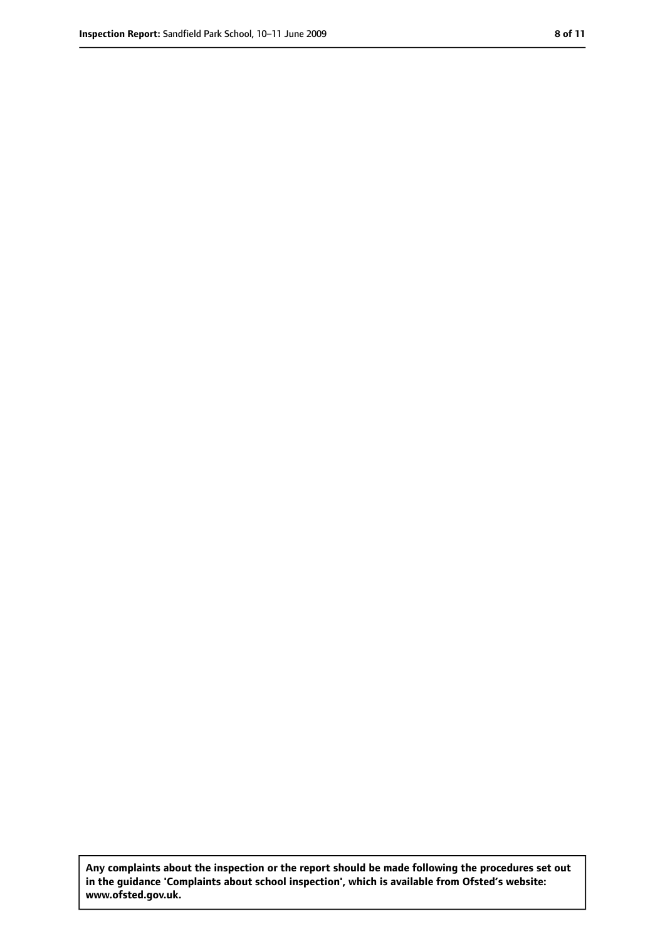**Any complaints about the inspection or the report should be made following the procedures set out in the guidance 'Complaints about school inspection', which is available from Ofsted's website: www.ofsted.gov.uk.**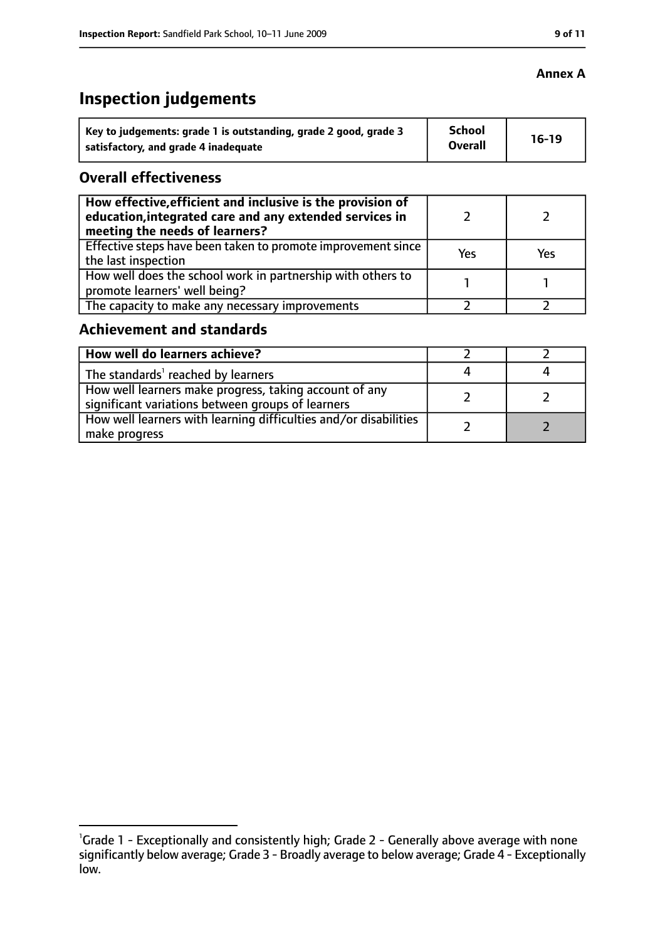# **Inspection judgements**

| Key to judgements: grade 1 is outstanding, grade 2 good, grade 3 | <b>School</b><br><b>Overall</b> | $16-19$ |
|------------------------------------------------------------------|---------------------------------|---------|
| satisfactory, and grade 4 inadequate                             |                                 |         |

### **Overall effectiveness**

| How effective, efficient and inclusive is the provision of<br>education, integrated care and any extended services in<br>meeting the needs of learners? |     |     |
|---------------------------------------------------------------------------------------------------------------------------------------------------------|-----|-----|
| Effective steps have been taken to promote improvement since<br>the last inspection                                                                     | Yes | Yes |
| How well does the school work in partnership with others to<br>promote learners' well being?                                                            |     |     |
| The capacity to make any necessary improvements                                                                                                         |     |     |

### **Achievement and standards**

| How well do learners achieve?                                                                               |  |
|-------------------------------------------------------------------------------------------------------------|--|
| The standards <sup>1</sup> reached by learners                                                              |  |
| How well learners make progress, taking account of any<br>significant variations between groups of learners |  |
| How well learners with learning difficulties and/or disabilities<br>make progress                           |  |

# **Annex A**

<sup>&</sup>lt;sup>1</sup>Grade 1 - Exceptionally and consistently high; Grade 2 - Generally above average with none significantly below average; Grade 3 - Broadly average to below average; Grade 4 - Exceptionally low.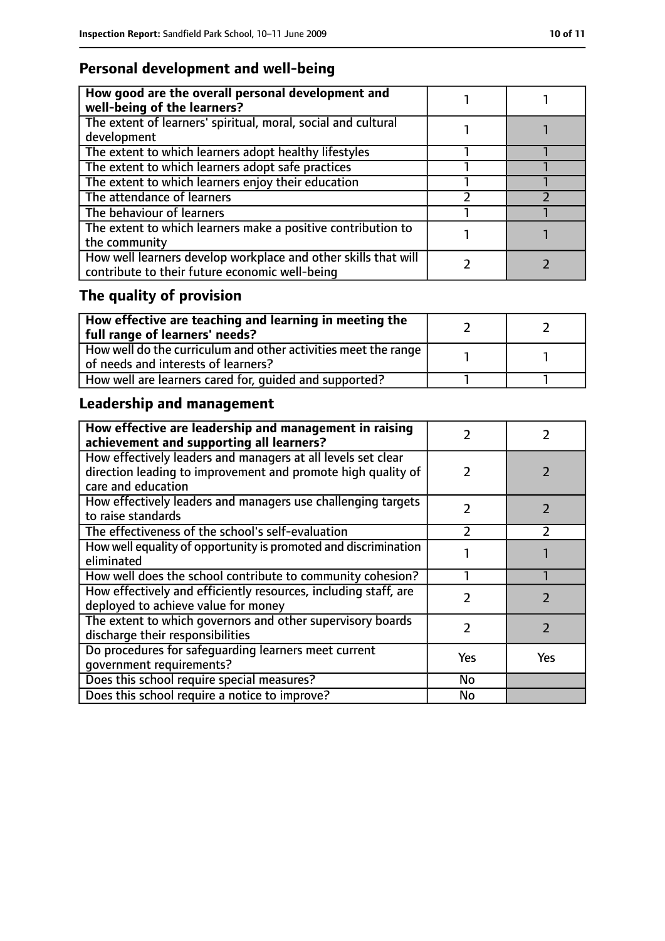# **Personal development and well-being**

| How good are the overall personal development and<br>well-being of the learners?                                 |  |
|------------------------------------------------------------------------------------------------------------------|--|
| The extent of learners' spiritual, moral, social and cultural<br>development                                     |  |
| The extent to which learners adopt healthy lifestyles                                                            |  |
| The extent to which learners adopt safe practices                                                                |  |
| The extent to which learners enjoy their education                                                               |  |
| The attendance of learners                                                                                       |  |
| The behaviour of learners                                                                                        |  |
| The extent to which learners make a positive contribution to<br>the community                                    |  |
| How well learners develop workplace and other skills that will<br>contribute to their future economic well-being |  |

# **The quality of provision**

| $\mid$ How effective are teaching and learning in meeting the<br>full range of learners' needs?       |  |
|-------------------------------------------------------------------------------------------------------|--|
| How well do the curriculum and other activities meet the range<br>of needs and interests of learners? |  |
| How well are learners cared for, quided and supported?                                                |  |

# **Leadership and management**

| How effective are leadership and management in raising<br>achievement and supporting all learners?                                                 |               |               |
|----------------------------------------------------------------------------------------------------------------------------------------------------|---------------|---------------|
| How effectively leaders and managers at all levels set clear<br>direction leading to improvement and promote high quality of<br>care and education | $\mathcal{L}$ |               |
| How effectively leaders and managers use challenging targets<br>to raise standards                                                                 | 2             |               |
| The effectiveness of the school's self-evaluation                                                                                                  |               |               |
| How well equality of opportunity is promoted and discrimination<br>eliminated                                                                      |               |               |
| How well does the school contribute to community cohesion?                                                                                         |               |               |
| How effectively and efficiently resources, including staff, are<br>deployed to achieve value for money                                             | 7             | フ             |
| The extent to which governors and other supervisory boards<br>discharge their responsibilities                                                     | $\mathcal{P}$ | $\mathcal{P}$ |
| Do procedures for safeguarding learners meet current<br>qovernment requirements?                                                                   | Yes           | Yes           |
| Does this school require special measures?                                                                                                         | No            |               |
| Does this school require a notice to improve?                                                                                                      | No            |               |